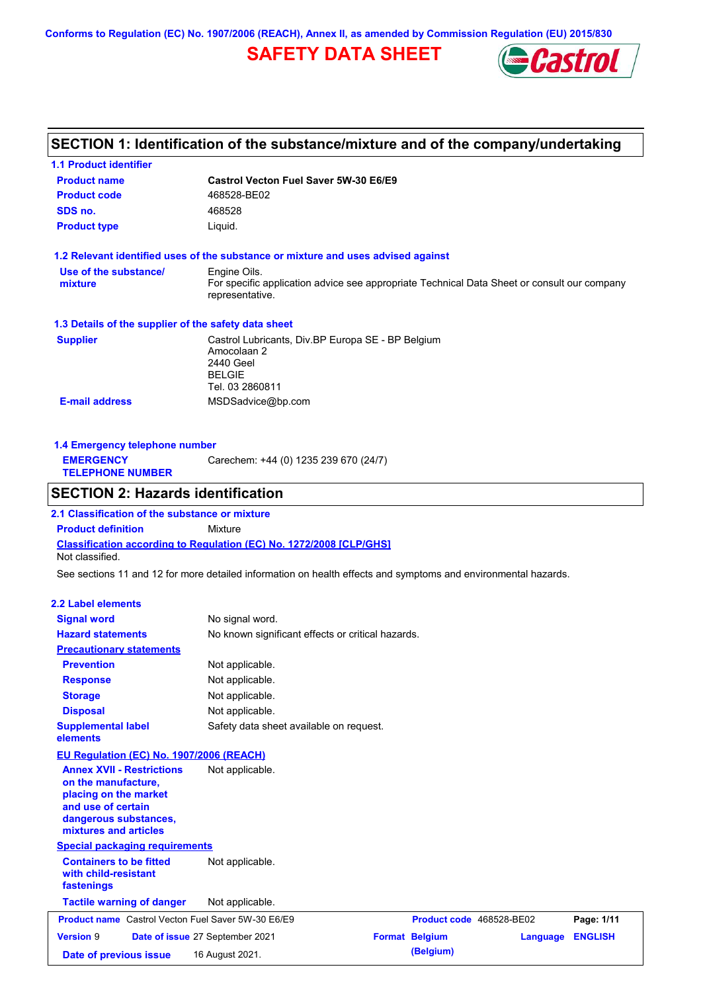**Conforms to Regulation (EC) No. 1907/2006 (REACH), Annex II, as amended by Commission Regulation (EU) 2015/830**

# **SAFETY DATA SHEET**



# **SECTION 1: Identification of the substance/mixture and of the company/undertaking**

| <b>1.1 Product identifier</b>                                                                                                                            |                                                                                                                   |  |                          |                 |                |
|----------------------------------------------------------------------------------------------------------------------------------------------------------|-------------------------------------------------------------------------------------------------------------------|--|--------------------------|-----------------|----------------|
| <b>Product name</b>                                                                                                                                      | Castrol Vecton Fuel Saver 5W-30 E6/E9                                                                             |  |                          |                 |                |
| <b>Product code</b>                                                                                                                                      | 468528-BE02                                                                                                       |  |                          |                 |                |
| SDS no.                                                                                                                                                  | 468528                                                                                                            |  |                          |                 |                |
| <b>Product type</b><br>Liquid.                                                                                                                           |                                                                                                                   |  |                          |                 |                |
| 1.2 Relevant identified uses of the substance or mixture and uses advised against                                                                        |                                                                                                                   |  |                          |                 |                |
| Use of the substance/                                                                                                                                    | Engine Oils.                                                                                                      |  |                          |                 |                |
| mixture                                                                                                                                                  | For specific application advice see appropriate Technical Data Sheet or consult our company<br>representative.    |  |                          |                 |                |
| 1.3 Details of the supplier of the safety data sheet                                                                                                     |                                                                                                                   |  |                          |                 |                |
| <b>Supplier</b>                                                                                                                                          | Castrol Lubricants, Div.BP Europa SE - BP Belgium<br>Amocolaan 2<br>2440 Geel<br><b>BELGIE</b><br>Tel. 03 2860811 |  |                          |                 |                |
| <b>E-mail address</b>                                                                                                                                    | MSDSadvice@bp.com                                                                                                 |  |                          |                 |                |
|                                                                                                                                                          |                                                                                                                   |  |                          |                 |                |
| 1.4 Emergency telephone number<br><b>EMERGENCY</b>                                                                                                       | Carechem: +44 (0) 1235 239 670 (24/7)                                                                             |  |                          |                 |                |
| <b>TELEPHONE NUMBER</b>                                                                                                                                  |                                                                                                                   |  |                          |                 |                |
| <b>SECTION 2: Hazards identification</b>                                                                                                                 |                                                                                                                   |  |                          |                 |                |
| 2.1 Classification of the substance or mixture                                                                                                           |                                                                                                                   |  |                          |                 |                |
| <b>Product definition</b>                                                                                                                                | Mixture                                                                                                           |  |                          |                 |                |
| Not classified.                                                                                                                                          | Classification according to Regulation (EC) No. 1272/2008 [CLP/GHS]                                               |  |                          |                 |                |
|                                                                                                                                                          | See sections 11 and 12 for more detailed information on health effects and symptoms and environmental hazards.    |  |                          |                 |                |
| <b>2.2 Label elements</b>                                                                                                                                |                                                                                                                   |  |                          |                 |                |
| <b>Signal word</b>                                                                                                                                       | No signal word.                                                                                                   |  |                          |                 |                |
| <b>Hazard statements</b>                                                                                                                                 | No known significant effects or critical hazards.                                                                 |  |                          |                 |                |
| <b>Precautionary statements</b>                                                                                                                          |                                                                                                                   |  |                          |                 |                |
| <b>Prevention</b>                                                                                                                                        | Not applicable.                                                                                                   |  |                          |                 |                |
| <b>Response</b>                                                                                                                                          | Not applicable.                                                                                                   |  |                          |                 |                |
| <b>Storage</b>                                                                                                                                           | Not applicable.                                                                                                   |  |                          |                 |                |
| <b>Disposal</b>                                                                                                                                          | Not applicable.                                                                                                   |  |                          |                 |                |
| <b>Supplemental label</b><br>elements                                                                                                                    | Safety data sheet available on request.                                                                           |  |                          |                 |                |
| EU Regulation (EC) No. 1907/2006 (REACH)                                                                                                                 |                                                                                                                   |  |                          |                 |                |
| <b>Annex XVII - Restrictions</b><br>on the manufacture,<br>placing on the market<br>and use of certain<br>dangerous substances,<br>mixtures and articles | Not applicable.                                                                                                   |  |                          |                 |                |
| <b>Special packaging requirements</b>                                                                                                                    |                                                                                                                   |  |                          |                 |                |
| <b>Containers to be fitted</b><br>with child-resistant<br>fastenings                                                                                     | Not applicable.                                                                                                   |  |                          |                 |                |
| <b>Tactile warning of danger</b>                                                                                                                         | Not applicable.                                                                                                   |  |                          |                 |                |
| <b>Product name</b> Castrol Vecton Fuel Saver 5W-30 E6/E9                                                                                                |                                                                                                                   |  | Product code 468528-BE02 |                 | Page: 1/11     |
| <b>Version 9</b>                                                                                                                                         | Date of issue 27 September 2021                                                                                   |  | <b>Format Belgium</b>    | <b>Language</b> | <b>ENGLISH</b> |
|                                                                                                                                                          | 16 August 2021.                                                                                                   |  | (Belgium)                |                 |                |
| Date of previous issue                                                                                                                                   |                                                                                                                   |  |                          |                 |                |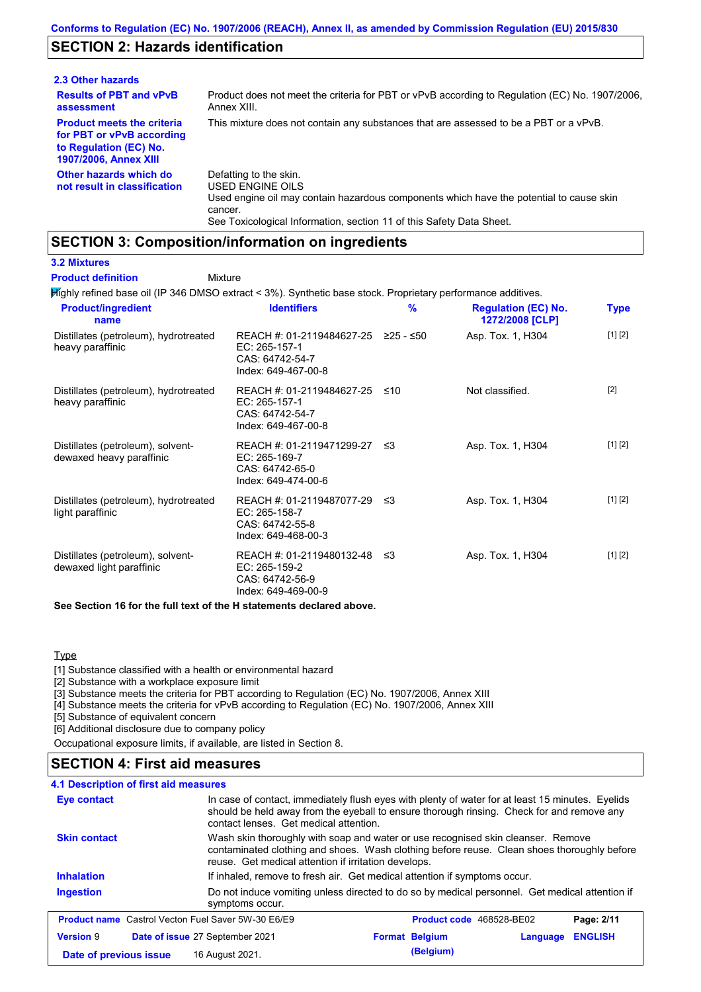# **SECTION 2: Hazards identification**

| 2.3 Other hazards                                                                                                        |                                                                                                                                                                                                                          |
|--------------------------------------------------------------------------------------------------------------------------|--------------------------------------------------------------------------------------------------------------------------------------------------------------------------------------------------------------------------|
| <b>Results of PBT and vPvB</b><br>assessment                                                                             | Product does not meet the criteria for PBT or vPvB according to Regulation (EC) No. 1907/2006.<br>Annex XIII.                                                                                                            |
| <b>Product meets the criteria</b><br>for PBT or vPvB according<br>to Regulation (EC) No.<br><b>1907/2006, Annex XIII</b> | This mixture does not contain any substances that are assessed to be a PBT or a vPvB.                                                                                                                                    |
| Other hazards which do<br>not result in classification                                                                   | Defatting to the skin.<br>USED ENGINE OILS<br>Used engine oil may contain hazardous components which have the potential to cause skin<br>cancer.<br>See Toxicological Information, section 11 of this Safety Data Sheet. |

### **SECTION 3: Composition/information on ingredients**

Mixture

### **3.2 Mixtures**

**Product definition**

Highly refined base oil (IP 346 DMSO extract < 3%). Synthetic base stock. Proprietary performance additives.

| <b>Product/ingredient</b><br>name                             | <b>Identifiers</b>                                                                      | $\frac{9}{6}$ | <b>Regulation (EC) No.</b><br>1272/2008 [CLP] | <b>Type</b> |
|---------------------------------------------------------------|-----------------------------------------------------------------------------------------|---------------|-----------------------------------------------|-------------|
| Distillates (petroleum), hydrotreated<br>heavy paraffinic     | REACH #: 01-2119484627-25<br>$EC: 265-157-1$<br>CAS: 64742-54-7<br>Index: 649-467-00-8  | 225 - ≤50     | Asp. Tox. 1, H304                             | [1] [2]     |
| Distillates (petroleum), hydrotreated<br>heavy paraffinic     | REACH #: 01-2119484627-25<br>EC: 265-157-1<br>CAS: 64742-54-7<br>Index: 649-467-00-8    | ≤10           | Not classified.                               | $[2]$       |
| Distillates (petroleum), solvent-<br>dewaxed heavy paraffinic | REACH #: 01-2119471299-27<br>EC: 265-169-7<br>CAS: 64742-65-0<br>Index: 649-474-00-6    | ו≥ ≤          | Asp. Tox. 1, H304                             | [1] [2]     |
| Distillates (petroleum), hydrotreated<br>light paraffinic     | REACH #: 01-2119487077-29 ≤3<br>EC: 265-158-7<br>CAS: 64742-55-8<br>Index: 649-468-00-3 |               | Asp. Tox. 1, H304                             | [1] [2]     |
| Distillates (petroleum), solvent-<br>dewaxed light paraffinic | REACH #: 01-2119480132-48<br>EC: 265-159-2<br>CAS: 64742-56-9<br>Index: 649-469-00-9    | -≤3           | Asp. Tox. 1, H304                             | [1] [2]     |

**See Section 16 for the full text of the H statements declared above.**

**Type** 

[1] Substance classified with a health or environmental hazard

[2] Substance with a workplace exposure limit

[3] Substance meets the criteria for PBT according to Regulation (EC) No. 1907/2006, Annex XIII

[4] Substance meets the criteria for vPvB according to Regulation (EC) No. 1907/2006, Annex XIII

[5] Substance of equivalent concern

[6] Additional disclosure due to company policy

Occupational exposure limits, if available, are listed in Section 8.

### **SECTION 4: First aid measures**

| 4.1 Description of first aid measures                                                                                                                                                                                                                         |                                                                                                                                                                                                                                        |                                                                           |          |                |  |
|---------------------------------------------------------------------------------------------------------------------------------------------------------------------------------------------------------------------------------------------------------------|----------------------------------------------------------------------------------------------------------------------------------------------------------------------------------------------------------------------------------------|---------------------------------------------------------------------------|----------|----------------|--|
| In case of contact, immediately flush eyes with plenty of water for at least 15 minutes. Eyelids<br><b>Eye contact</b><br>should be held away from the eyeball to ensure thorough rinsing. Check for and remove any<br>contact lenses. Get medical attention. |                                                                                                                                                                                                                                        |                                                                           |          |                |  |
| <b>Skin contact</b>                                                                                                                                                                                                                                           | Wash skin thoroughly with soap and water or use recognised skin cleanser. Remove<br>contaminated clothing and shoes. Wash clothing before reuse. Clean shoes thoroughly before<br>reuse. Get medical attention if irritation develops. |                                                                           |          |                |  |
| <b>Inhalation</b>                                                                                                                                                                                                                                             |                                                                                                                                                                                                                                        | If inhaled, remove to fresh air. Get medical attention if symptoms occur. |          |                |  |
| <b>Ingestion</b>                                                                                                                                                                                                                                              | Do not induce vomiting unless directed to do so by medical personnel. Get medical attention if<br>symptoms occur.                                                                                                                      |                                                                           |          |                |  |
| <b>Product name</b> Castrol Vecton Fuel Saver 5W-30 E6/E9                                                                                                                                                                                                     |                                                                                                                                                                                                                                        | Product code 468528-BE02                                                  |          | Page: 2/11     |  |
| <b>Version 9</b>                                                                                                                                                                                                                                              | Date of issue 27 September 2021                                                                                                                                                                                                        | <b>Format Belgium</b>                                                     | Language | <b>ENGLISH</b> |  |
| Date of previous issue                                                                                                                                                                                                                                        | 16 August 2021.                                                                                                                                                                                                                        | (Belgium)                                                                 |          |                |  |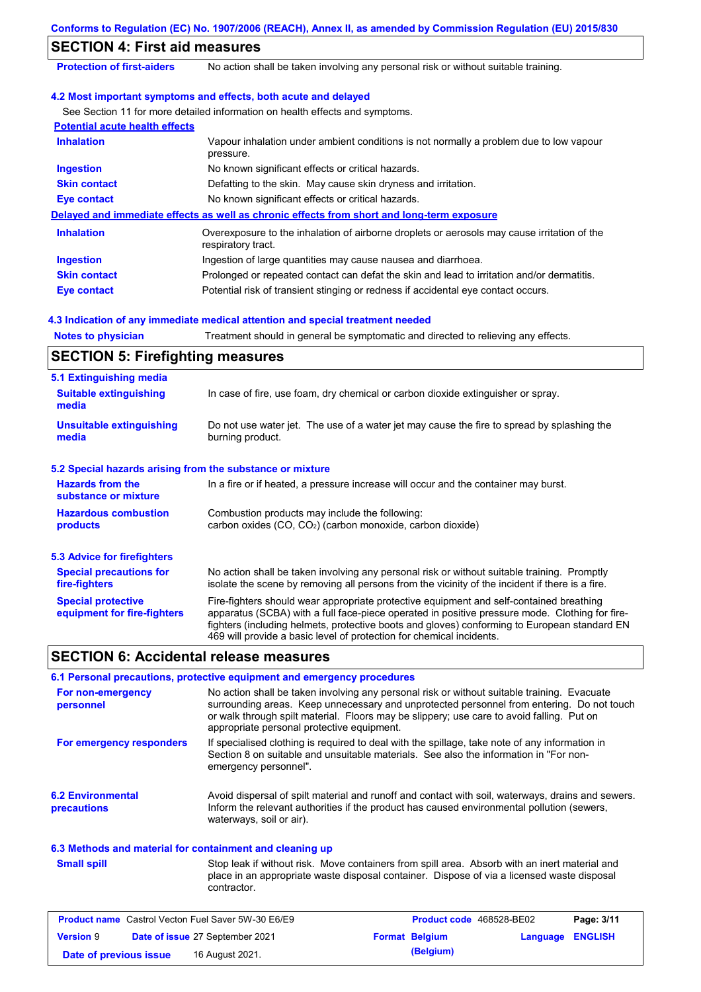|                                                                                      | Conforms to Regulation (EC) No. 1907/2006 (REACH), Annex II, as amended by Commission Regulation (EU) 2015/830                                                                                                                                                                                                                                                    |
|--------------------------------------------------------------------------------------|-------------------------------------------------------------------------------------------------------------------------------------------------------------------------------------------------------------------------------------------------------------------------------------------------------------------------------------------------------------------|
| <b>SECTION 4: First aid measures</b>                                                 |                                                                                                                                                                                                                                                                                                                                                                   |
| <b>Protection of first-aiders</b>                                                    | No action shall be taken involving any personal risk or without suitable training.                                                                                                                                                                                                                                                                                |
|                                                                                      |                                                                                                                                                                                                                                                                                                                                                                   |
|                                                                                      | 4.2 Most important symptoms and effects, both acute and delayed                                                                                                                                                                                                                                                                                                   |
|                                                                                      | See Section 11 for more detailed information on health effects and symptoms.                                                                                                                                                                                                                                                                                      |
| <b>Potential acute health effects</b>                                                |                                                                                                                                                                                                                                                                                                                                                                   |
| <b>Inhalation</b>                                                                    | Vapour inhalation under ambient conditions is not normally a problem due to low vapour<br>pressure.                                                                                                                                                                                                                                                               |
| <b>Ingestion</b>                                                                     | No known significant effects or critical hazards.                                                                                                                                                                                                                                                                                                                 |
| <b>Skin contact</b>                                                                  | Defatting to the skin. May cause skin dryness and irritation.                                                                                                                                                                                                                                                                                                     |
| <b>Eye contact</b>                                                                   | No known significant effects or critical hazards.                                                                                                                                                                                                                                                                                                                 |
|                                                                                      | Delayed and immediate effects as well as chronic effects from short and long-term exposure                                                                                                                                                                                                                                                                        |
| <b>Inhalation</b>                                                                    | Overexposure to the inhalation of airborne droplets or aerosols may cause irritation of the<br>respiratory tract.                                                                                                                                                                                                                                                 |
| <b>Ingestion</b>                                                                     | Ingestion of large quantities may cause nausea and diarrhoea.                                                                                                                                                                                                                                                                                                     |
| <b>Skin contact</b>                                                                  | Prolonged or repeated contact can defat the skin and lead to irritation and/or dermatitis.                                                                                                                                                                                                                                                                        |
| <b>Eye contact</b>                                                                   | Potential risk of transient stinging or redness if accidental eye contact occurs.                                                                                                                                                                                                                                                                                 |
|                                                                                      |                                                                                                                                                                                                                                                                                                                                                                   |
|                                                                                      | 4.3 Indication of any immediate medical attention and special treatment needed                                                                                                                                                                                                                                                                                    |
| <b>Notes to physician</b>                                                            | Treatment should in general be symptomatic and directed to relieving any effects.                                                                                                                                                                                                                                                                                 |
| <b>SECTION 5: Firefighting measures</b>                                              |                                                                                                                                                                                                                                                                                                                                                                   |
| 5.1 Extinguishing media                                                              |                                                                                                                                                                                                                                                                                                                                                                   |
| <b>Suitable extinguishing</b><br>media                                               | In case of fire, use foam, dry chemical or carbon dioxide extinguisher or spray.                                                                                                                                                                                                                                                                                  |
| <b>Unsuitable extinguishing</b><br>media                                             | Do not use water jet. The use of a water jet may cause the fire to spread by splashing the<br>burning product.                                                                                                                                                                                                                                                    |
|                                                                                      |                                                                                                                                                                                                                                                                                                                                                                   |
| 5.2 Special hazards arising from the substance or mixture<br><b>Hazards from the</b> | In a fire or if heated, a pressure increase will occur and the container may burst.                                                                                                                                                                                                                                                                               |
| substance or mixture                                                                 |                                                                                                                                                                                                                                                                                                                                                                   |
| <b>Hazardous combustion</b><br>products                                              | Combustion products may include the following:<br>carbon oxides (CO, CO <sub>2</sub> ) (carbon monoxide, carbon dioxide)                                                                                                                                                                                                                                          |
| <b>5.3 Advice for firefighters</b>                                                   |                                                                                                                                                                                                                                                                                                                                                                   |
| <b>Special precautions for</b><br>fire-fighters                                      | No action shall be taken involving any personal risk or without suitable training. Promptly<br>isolate the scene by removing all persons from the vicinity of the incident if there is a fire.                                                                                                                                                                    |
| <b>Special protective</b><br>equipment for fire-fighters                             | Fire-fighters should wear appropriate protective equipment and self-contained breathing<br>apparatus (SCBA) with a full face-piece operated in positive pressure mode. Clothing for fire-<br>fighters (including helmets, protective boots and gloves) conforming to European standard EN<br>469 will provide a basic level of protection for chemical incidents. |
| <b>SECTION 6: Accidental release measures</b>                                        |                                                                                                                                                                                                                                                                                                                                                                   |
|                                                                                      | 6.1 Personal precautions, protective equipment and emergency procedures                                                                                                                                                                                                                                                                                           |
| For non-emergency<br>personnel                                                       | No action shall be taken involving any personal risk or without suitable training. Evacuate<br>surrounding areas. Keep unnecessary and unprotected personnel from entering. Do not touch<br>or walk through spilt material. Floors may be slippery; use care to avoid falling. Put on<br>appropriate personal protective equipment.                               |
| For emergency responders                                                             | If specialised clothing is required to deal with the spillage, take note of any information in<br>Section 8 on suitable and unsuitable materials. See also the information in "For non-<br>emergency personnel".                                                                                                                                                  |
| <b>6.2 Environmental</b><br>precautions                                              | Avoid dispersal of spilt material and runoff and contact with soil, waterways, drains and sewers.<br>Inform the relevant authorities if the product has caused environmental pollution (sewers,<br>waterways, soil or air).                                                                                                                                       |
| 6.3 Methods and material for containment and cleaning up                             |                                                                                                                                                                                                                                                                                                                                                                   |
| <b>Small spill</b>                                                                   | Stop leak if without risk. Move containers from spill area. Absorb with an inert material and<br>place in an appropriate waste disposal container. Dispose of via a licensed waste disposal<br>contractor.                                                                                                                                                        |

| <b>Product name</b> Castrol Vecton Fuel Saver 5W-30 E6/E9 |  | <b>Product code</b> 468528-BE02 |                       | Page: 3/11              |  |
|-----------------------------------------------------------|--|---------------------------------|-----------------------|-------------------------|--|
| <b>Version 9</b>                                          |  | Date of issue 27 September 2021 | <b>Format Belgium</b> | <b>Language ENGLISH</b> |  |
| Date of previous issue                                    |  | 16 August 2021.                 | (Belgium)             |                         |  |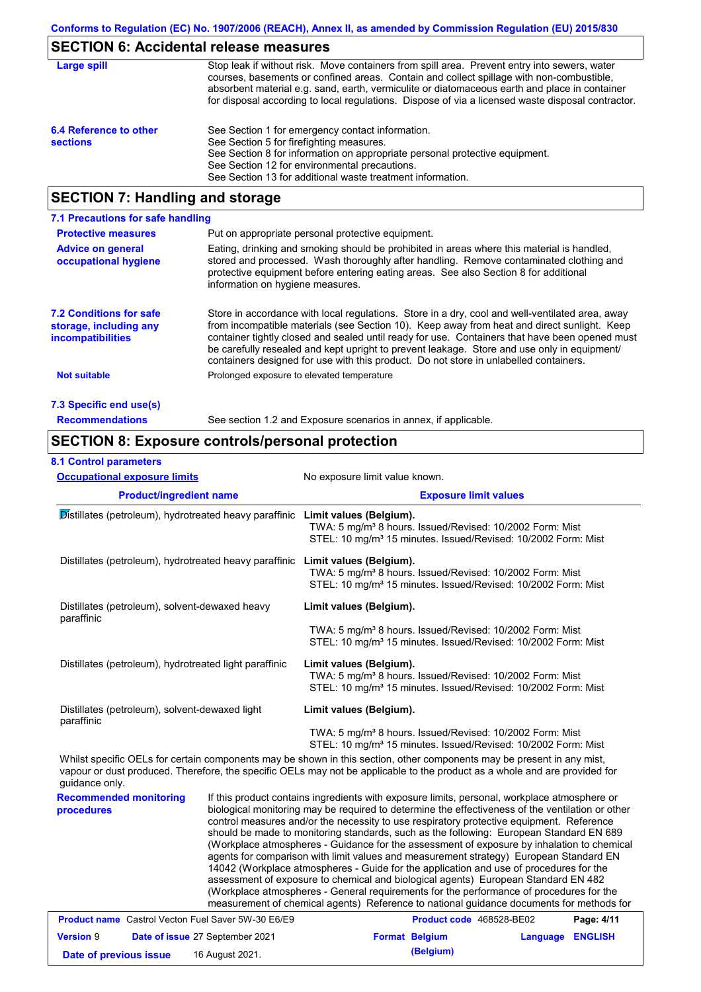# **SECTION 6: Accidental release measures**

| Large spill                               | Stop leak if without risk. Move containers from spill area. Prevent entry into sewers, water<br>courses, basements or confined areas. Contain and collect spillage with non-combustible,<br>absorbent material e.g. sand, earth, vermiculite or diatomaceous earth and place in container<br>for disposal according to local regulations. Dispose of via a licensed waste disposal contractor. |
|-------------------------------------------|------------------------------------------------------------------------------------------------------------------------------------------------------------------------------------------------------------------------------------------------------------------------------------------------------------------------------------------------------------------------------------------------|
| 6.4 Reference to other<br><b>sections</b> | See Section 1 for emergency contact information.<br>See Section 5 for firefighting measures.<br>See Section 8 for information on appropriate personal protective equipment.<br>See Section 12 for environmental precautions.<br>See Section 13 for additional waste treatment information.                                                                                                     |

### **SECTION 7: Handling and storage**

| 7.1 Precautions for safe handling                                                    |                                                                                                                                                                                                                                                                                                                                                                                                                                                                                          |
|--------------------------------------------------------------------------------------|------------------------------------------------------------------------------------------------------------------------------------------------------------------------------------------------------------------------------------------------------------------------------------------------------------------------------------------------------------------------------------------------------------------------------------------------------------------------------------------|
| <b>Protective measures</b>                                                           | Put on appropriate personal protective equipment.                                                                                                                                                                                                                                                                                                                                                                                                                                        |
| <b>Advice on general</b><br>occupational hygiene                                     | Eating, drinking and smoking should be prohibited in areas where this material is handled.<br>stored and processed. Wash thoroughly after handling. Remove contaminated clothing and<br>protective equipment before entering eating areas. See also Section 8 for additional<br>information on hygiene measures.                                                                                                                                                                         |
| <b>7.2 Conditions for safe</b><br>storage, including any<br><i>incompatibilities</i> | Store in accordance with local requiations. Store in a dry, cool and well-ventilated area, away<br>from incompatible materials (see Section 10). Keep away from heat and direct sunlight. Keep<br>container tightly closed and sealed until ready for use. Containers that have been opened must<br>be carefully resealed and kept upright to prevent leakage. Store and use only in equipment/<br>containers designed for use with this product. Do not store in unlabelled containers. |
| <b>Not suitable</b>                                                                  | Prolonged exposure to elevated temperature                                                                                                                                                                                                                                                                                                                                                                                                                                               |
| 7.3 Specific end use(s)                                                              |                                                                                                                                                                                                                                                                                                                                                                                                                                                                                          |
| <b>Recommendations</b>                                                               | See section 1.2 and Exposure scenarios in annex, if applicable.                                                                                                                                                                                                                                                                                                                                                                                                                          |

# **SECTION 8: Exposure controls/personal protection**

|  |  | <b>8.1 Control parameters</b> |
|--|--|-------------------------------|
|--|--|-------------------------------|

| <b>Occupational exposure limits</b>                    | No exposure limit value known.                                                                                                                                               |  |  |  |
|--------------------------------------------------------|------------------------------------------------------------------------------------------------------------------------------------------------------------------------------|--|--|--|
| <b>Product/ingredient name</b>                         | <b>Exposure limit values</b>                                                                                                                                                 |  |  |  |
| Distillates (petroleum), hydrotreated heavy paraffinic | Limit values (Belgium).<br>TWA: 5 mg/m <sup>3</sup> 8 hours. Issued/Revised: 10/2002 Form: Mist<br>STEL: 10 mg/m <sup>3</sup> 15 minutes. Issued/Revised: 10/2002 Form: Mist |  |  |  |
| Distillates (petroleum), hydrotreated heavy paraffinic | Limit values (Belgium).<br>TWA: 5 mg/m <sup>3</sup> 8 hours. Issued/Revised: 10/2002 Form: Mist<br>STEL: 10 mg/m <sup>3</sup> 15 minutes. Issued/Revised: 10/2002 Form: Mist |  |  |  |
| Distillates (petroleum), solvent-dewaxed heavy         | Limit values (Belgium).                                                                                                                                                      |  |  |  |
| paraffinic                                             | TWA: 5 mg/m <sup>3</sup> 8 hours. Issued/Revised: 10/2002 Form: Mist<br>STEL: 10 mg/m <sup>3</sup> 15 minutes. Issued/Revised: 10/2002 Form: Mist                            |  |  |  |
| Distillates (petroleum), hydrotreated light paraffinic | Limit values (Belgium).<br>TWA: 5 mg/m <sup>3</sup> 8 hours. Issued/Revised: 10/2002 Form: Mist<br>STEL: 10 mg/m <sup>3</sup> 15 minutes. Issued/Revised: 10/2002 Form: Mist |  |  |  |
| Distillates (petroleum), solvent-dewaxed light         | Limit values (Belgium).                                                                                                                                                      |  |  |  |
| paraffinic                                             | TWA: 5 mg/m <sup>3</sup> 8 hours. Issued/Revised: 10/2002 Form: Mist                                                                                                         |  |  |  |

STEL: 10 mg/m<sup>3</sup> 15 minutes. Issued/Revised: 10/2002 Form: Mist

Whilst specific OELs for certain components may be shown in this section, other components may be present in any mist, vapour or dust produced. Therefore, the specific OELs may not be applicable to the product as a whole and are provided for guidance only.

#### **Recommended monitoring procedures**

If this product contains ingredients with exposure limits, personal, workplace atmosphere or biological monitoring may be required to determine the effectiveness of the ventilation or other control measures and/or the necessity to use respiratory protective equipment. Reference should be made to monitoring standards, such as the following: European Standard EN 689 (Workplace atmospheres - Guidance for the assessment of exposure by inhalation to chemical agents for comparison with limit values and measurement strategy) European Standard EN 14042 (Workplace atmospheres - Guide for the application and use of procedures for the assessment of exposure to chemical and biological agents) European Standard EN 482 (Workplace atmospheres - General requirements for the performance of procedures for the measurement of chemical agents) Reference to national guidance documents for methods for

| <b>Product name</b> Castrol Vecton Fuel Saver 5W-30 E6/E9 |  |                                        | Product code 468528-BE02 |                       | Page: 4/11              |  |
|-----------------------------------------------------------|--|----------------------------------------|--------------------------|-----------------------|-------------------------|--|
| <b>Version 9</b>                                          |  | <b>Date of issue 27 September 2021</b> |                          | <b>Format Belgium</b> | <b>Language ENGLISH</b> |  |
| Date of previous issue                                    |  | 16 August 2021.                        |                          | (Belgium)             |                         |  |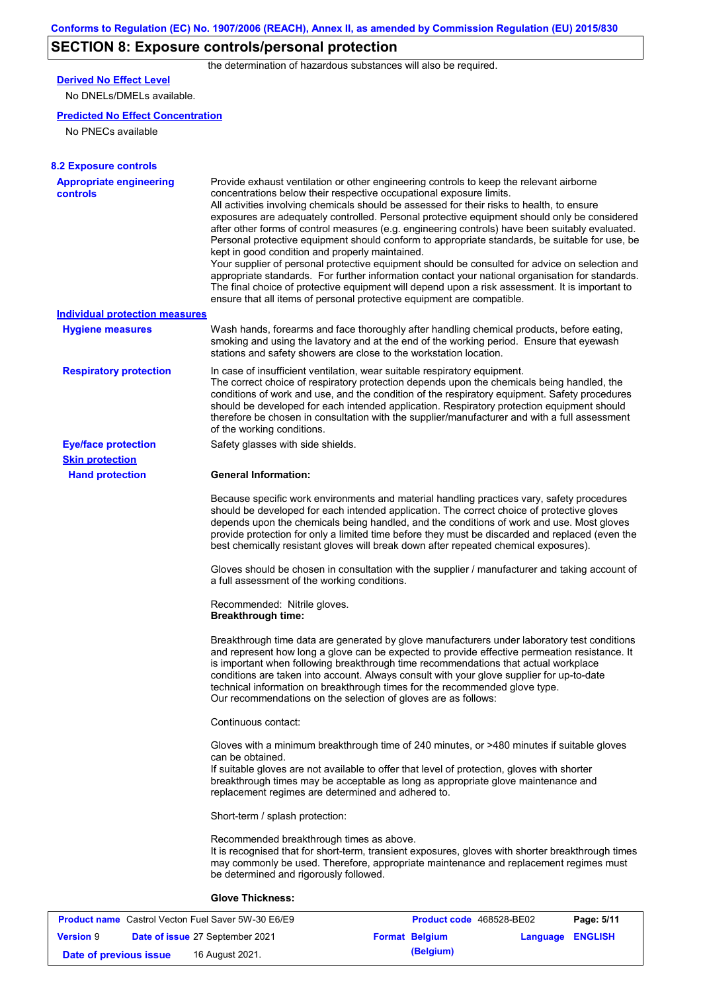# **SECTION 8: Exposure controls/personal protection**

the determination of hazardous substances will also be required.

# **Derived No Effect Level**

No DNELs/DMELs available.

### **Predicted No Effect Concentration**

No PNECs available

| <b>8.2 Exposure controls</b>               |                                                                                                                                                                                                                                                                                                                                                                                                                                                                                                                                                                                                                                                                                                                                                                                                                                                                                                                                                                                                         |
|--------------------------------------------|---------------------------------------------------------------------------------------------------------------------------------------------------------------------------------------------------------------------------------------------------------------------------------------------------------------------------------------------------------------------------------------------------------------------------------------------------------------------------------------------------------------------------------------------------------------------------------------------------------------------------------------------------------------------------------------------------------------------------------------------------------------------------------------------------------------------------------------------------------------------------------------------------------------------------------------------------------------------------------------------------------|
| <b>Appropriate engineering</b><br>controls | Provide exhaust ventilation or other engineering controls to keep the relevant airborne<br>concentrations below their respective occupational exposure limits.<br>All activities involving chemicals should be assessed for their risks to health, to ensure<br>exposures are adequately controlled. Personal protective equipment should only be considered<br>after other forms of control measures (e.g. engineering controls) have been suitably evaluated.<br>Personal protective equipment should conform to appropriate standards, be suitable for use, be<br>kept in good condition and properly maintained.<br>Your supplier of personal protective equipment should be consulted for advice on selection and<br>appropriate standards. For further information contact your national organisation for standards.<br>The final choice of protective equipment will depend upon a risk assessment. It is important to<br>ensure that all items of personal protective equipment are compatible. |
| <b>Individual protection measures</b>      |                                                                                                                                                                                                                                                                                                                                                                                                                                                                                                                                                                                                                                                                                                                                                                                                                                                                                                                                                                                                         |
| <b>Hygiene measures</b>                    | Wash hands, forearms and face thoroughly after handling chemical products, before eating,<br>smoking and using the lavatory and at the end of the working period. Ensure that eyewash<br>stations and safety showers are close to the workstation location.                                                                                                                                                                                                                                                                                                                                                                                                                                                                                                                                                                                                                                                                                                                                             |
| <b>Respiratory protection</b>              | In case of insufficient ventilation, wear suitable respiratory equipment.<br>The correct choice of respiratory protection depends upon the chemicals being handled, the<br>conditions of work and use, and the condition of the respiratory equipment. Safety procedures<br>should be developed for each intended application. Respiratory protection equipment should<br>therefore be chosen in consultation with the supplier/manufacturer and with a full assessment<br>of the working conditions.                                                                                                                                                                                                                                                                                                                                                                                                                                                                                                   |
| <b>Eye/face protection</b>                 | Safety glasses with side shields.                                                                                                                                                                                                                                                                                                                                                                                                                                                                                                                                                                                                                                                                                                                                                                                                                                                                                                                                                                       |
| <b>Skin protection</b>                     |                                                                                                                                                                                                                                                                                                                                                                                                                                                                                                                                                                                                                                                                                                                                                                                                                                                                                                                                                                                                         |
| <b>Hand protection</b>                     | <b>General Information:</b>                                                                                                                                                                                                                                                                                                                                                                                                                                                                                                                                                                                                                                                                                                                                                                                                                                                                                                                                                                             |
|                                            | Because specific work environments and material handling practices vary, safety procedures<br>should be developed for each intended application. The correct choice of protective gloves<br>depends upon the chemicals being handled, and the conditions of work and use. Most gloves<br>provide protection for only a limited time before they must be discarded and replaced (even the<br>best chemically resistant gloves will break down after repeated chemical exposures).                                                                                                                                                                                                                                                                                                                                                                                                                                                                                                                        |
|                                            | Gloves should be chosen in consultation with the supplier / manufacturer and taking account of<br>a full assessment of the working conditions.                                                                                                                                                                                                                                                                                                                                                                                                                                                                                                                                                                                                                                                                                                                                                                                                                                                          |
|                                            | Recommended: Nitrile gloves.<br><b>Breakthrough time:</b>                                                                                                                                                                                                                                                                                                                                                                                                                                                                                                                                                                                                                                                                                                                                                                                                                                                                                                                                               |
|                                            | Breakthrough time data are generated by glove manufacturers under laboratory test conditions<br>and represent how long a glove can be expected to provide effective permeation resistance. It<br>is important when following breakthrough time recommendations that actual workplace<br>conditions are taken into account. Always consult with your glove supplier for up-to-date<br>technical information on breakthrough times for the recommended glove type.<br>Our recommendations on the selection of gloves are as follows:                                                                                                                                                                                                                                                                                                                                                                                                                                                                      |
|                                            | Continuous contact:                                                                                                                                                                                                                                                                                                                                                                                                                                                                                                                                                                                                                                                                                                                                                                                                                                                                                                                                                                                     |
|                                            | Gloves with a minimum breakthrough time of 240 minutes, or >480 minutes if suitable gloves<br>can be obtained.<br>If suitable gloves are not available to offer that level of protection, gloves with shorter<br>breakthrough times may be acceptable as long as appropriate glove maintenance and<br>replacement regimes are determined and adhered to.                                                                                                                                                                                                                                                                                                                                                                                                                                                                                                                                                                                                                                                |
|                                            | Short-term / splash protection:                                                                                                                                                                                                                                                                                                                                                                                                                                                                                                                                                                                                                                                                                                                                                                                                                                                                                                                                                                         |
|                                            | Recommended breakthrough times as above.<br>It is recognised that for short-term, transient exposures, gloves with shorter breakthrough times<br>may commonly be used. Therefore, appropriate maintenance and replacement regimes must<br>be determined and rigorously followed.                                                                                                                                                                                                                                                                                                                                                                                                                                                                                                                                                                                                                                                                                                                        |
|                                            | <b>Glove Thickness:</b>                                                                                                                                                                                                                                                                                                                                                                                                                                                                                                                                                                                                                                                                                                                                                                                                                                                                                                                                                                                 |
|                                            |                                                                                                                                                                                                                                                                                                                                                                                                                                                                                                                                                                                                                                                                                                                                                                                                                                                                                                                                                                                                         |

| <b>Product name</b> Castrol Vecton Fuel Saver 5W-30 E6/E9 |  | Product code 468528-BE02        |  | Page: 5/11            |                  |  |
|-----------------------------------------------------------|--|---------------------------------|--|-----------------------|------------------|--|
| <b>Version 9</b>                                          |  | Date of issue 27 September 2021 |  | <b>Format Belgium</b> | Language ENGLISH |  |
| Date of previous issue                                    |  | 16 August 2021.                 |  | (Belgium)             |                  |  |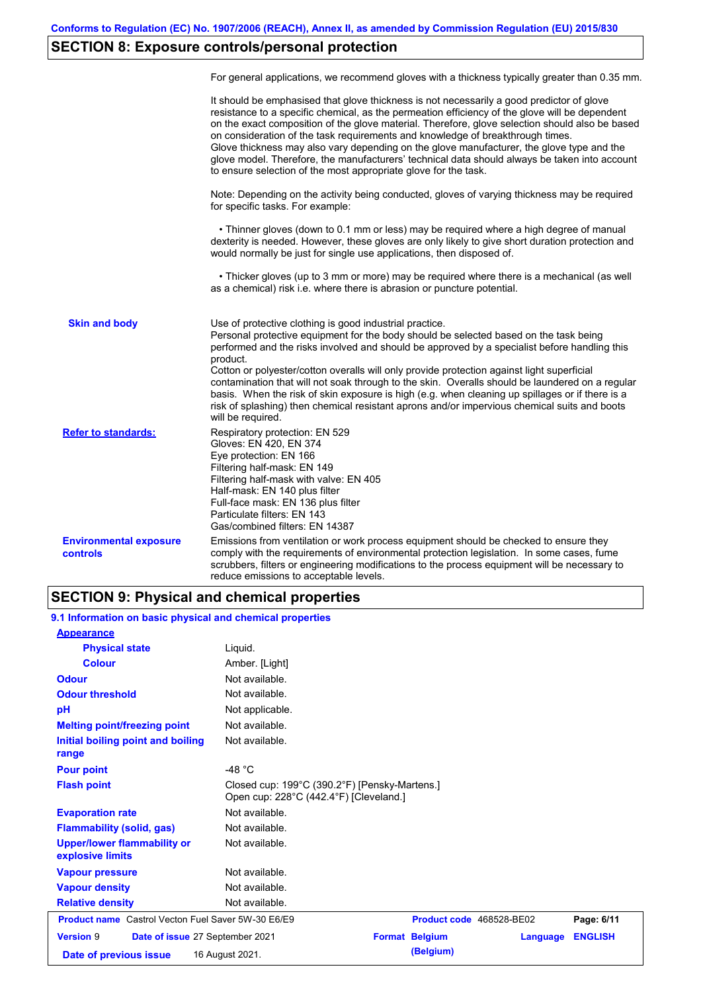# **SECTION 8: Exposure controls/personal protection**

|                                                  | For general applications, we recommend gloves with a thickness typically greater than 0.35 mm.                                                                                                                                                                                                                                                                                                                                                                                                                                                                                                                                                                                        |
|--------------------------------------------------|---------------------------------------------------------------------------------------------------------------------------------------------------------------------------------------------------------------------------------------------------------------------------------------------------------------------------------------------------------------------------------------------------------------------------------------------------------------------------------------------------------------------------------------------------------------------------------------------------------------------------------------------------------------------------------------|
|                                                  | It should be emphasised that glove thickness is not necessarily a good predictor of glove<br>resistance to a specific chemical, as the permeation efficiency of the glove will be dependent<br>on the exact composition of the glove material. Therefore, glove selection should also be based<br>on consideration of the task requirements and knowledge of breakthrough times.<br>Glove thickness may also vary depending on the glove manufacturer, the glove type and the<br>glove model. Therefore, the manufacturers' technical data should always be taken into account<br>to ensure selection of the most appropriate glove for the task.                                     |
|                                                  | Note: Depending on the activity being conducted, gloves of varying thickness may be required<br>for specific tasks. For example:                                                                                                                                                                                                                                                                                                                                                                                                                                                                                                                                                      |
|                                                  | • Thinner gloves (down to 0.1 mm or less) may be required where a high degree of manual<br>dexterity is needed. However, these gloves are only likely to give short duration protection and<br>would normally be just for single use applications, then disposed of.                                                                                                                                                                                                                                                                                                                                                                                                                  |
|                                                  | • Thicker gloves (up to 3 mm or more) may be required where there is a mechanical (as well<br>as a chemical) risk i.e. where there is abrasion or puncture potential.                                                                                                                                                                                                                                                                                                                                                                                                                                                                                                                 |
| <b>Skin and body</b>                             | Use of protective clothing is good industrial practice.<br>Personal protective equipment for the body should be selected based on the task being<br>performed and the risks involved and should be approved by a specialist before handling this<br>product.<br>Cotton or polyester/cotton overalls will only provide protection against light superficial<br>contamination that will not soak through to the skin. Overalls should be laundered on a regular<br>basis. When the risk of skin exposure is high (e.g. when cleaning up spillages or if there is a<br>risk of splashing) then chemical resistant aprons and/or impervious chemical suits and boots<br>will be required. |
| <b>Refer to standards:</b>                       | Respiratory protection: EN 529<br>Gloves: EN 420, EN 374<br>Eye protection: EN 166<br>Filtering half-mask: EN 149<br>Filtering half-mask with valve: EN 405<br>Half-mask: EN 140 plus filter<br>Full-face mask: EN 136 plus filter<br>Particulate filters: EN 143<br>Gas/combined filters: EN 14387                                                                                                                                                                                                                                                                                                                                                                                   |
| <b>Environmental exposure</b><br><b>controls</b> | Emissions from ventilation or work process equipment should be checked to ensure they<br>comply with the requirements of environmental protection legislation. In some cases, fume<br>scrubbers, filters or engineering modifications to the process equipment will be necessary to<br>reduce emissions to acceptable levels.                                                                                                                                                                                                                                                                                                                                                         |

# **SECTION 9: Physical and chemical properties**

| 9.1 Information on basic physical and chemical properties |  |
|-----------------------------------------------------------|--|
|-----------------------------------------------------------|--|

| <b>Appearance</b>                                         |                                                                                         |                          |          |                |
|-----------------------------------------------------------|-----------------------------------------------------------------------------------------|--------------------------|----------|----------------|
| <b>Physical state</b>                                     | Liquid.                                                                                 |                          |          |                |
| <b>Colour</b>                                             | Amber. [Light]                                                                          |                          |          |                |
| <b>Odour</b>                                              | Not available.                                                                          |                          |          |                |
| <b>Odour threshold</b>                                    | Not available.                                                                          |                          |          |                |
| pH                                                        | Not applicable.                                                                         |                          |          |                |
| <b>Melting point/freezing point</b>                       | Not available.                                                                          |                          |          |                |
| Initial boiling point and boiling<br>range                | Not available.                                                                          |                          |          |                |
| <b>Pour point</b>                                         | -48 $^{\circ}$ C                                                                        |                          |          |                |
| <b>Flash point</b>                                        | Closed cup: 199°C (390.2°F) [Pensky-Martens.]<br>Open cup: 228°C (442.4°F) [Cleveland.] |                          |          |                |
| <b>Evaporation rate</b>                                   | Not available.                                                                          |                          |          |                |
| <b>Flammability (solid, gas)</b>                          | Not available.                                                                          |                          |          |                |
| <b>Upper/lower flammability or</b><br>explosive limits    | Not available.                                                                          |                          |          |                |
| <b>Vapour pressure</b>                                    | Not available.                                                                          |                          |          |                |
| <b>Vapour density</b>                                     | Not available.                                                                          |                          |          |                |
| <b>Relative density</b>                                   | Not available.                                                                          |                          |          |                |
| <b>Product name</b> Castrol Vecton Fuel Saver 5W-30 E6/E9 |                                                                                         | Product code 468528-BE02 |          | Page: 6/11     |
| <b>Version 9</b><br>Date of issue 27 September 2021       |                                                                                         | <b>Format Belgium</b>    | Language | <b>ENGLISH</b> |
| Date of previous issue                                    | 16 August 2021.                                                                         | (Belgium)                |          |                |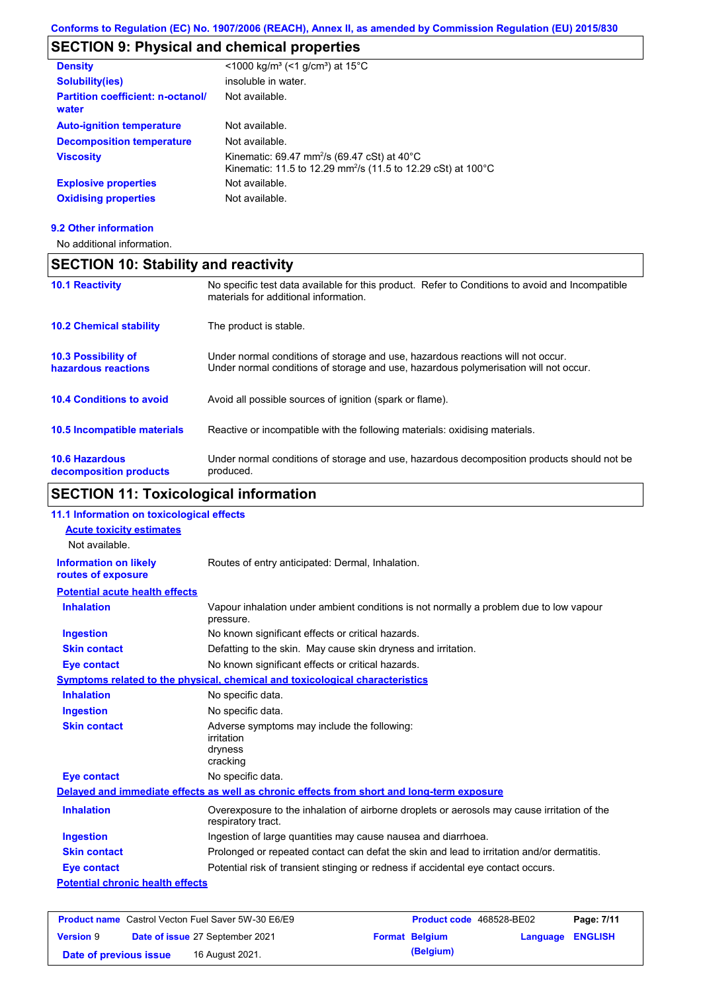# **SECTION 9: Physical and chemical properties**

| <b>Density</b>                                    | <1000 kg/m <sup>3</sup> (<1 g/cm <sup>3</sup> ) at 15 <sup>°</sup> C                                                                |
|---------------------------------------------------|-------------------------------------------------------------------------------------------------------------------------------------|
| <b>Solubility(ies)</b>                            | insoluble in water.                                                                                                                 |
| <b>Partition coefficient: n-octanol/</b><br>water | Not available.                                                                                                                      |
| <b>Auto-ignition temperature</b>                  | Not available.                                                                                                                      |
| <b>Decomposition temperature</b>                  | Not available.                                                                                                                      |
| <b>Viscosity</b>                                  | Kinematic: 69.47 mm <sup>2</sup> /s (69.47 cSt) at 40°C<br>Kinematic: 11.5 to 12.29 mm <sup>2</sup> /s (11.5 to 12.29 cSt) at 100°C |
| <b>Explosive properties</b>                       | Not available.                                                                                                                      |
| <b>Oxidising properties</b>                       | Not available.                                                                                                                      |
|                                                   |                                                                                                                                     |

### **9.2 Other information**

No additional information.

# **SECTION 10: Stability and reactivity**

| <b>10.1 Reactivity</b>                            | No specific test data available for this product. Refer to Conditions to avoid and Incompatible<br>materials for additional information.                                |
|---------------------------------------------------|-------------------------------------------------------------------------------------------------------------------------------------------------------------------------|
| <b>10.2 Chemical stability</b>                    | The product is stable.                                                                                                                                                  |
| <b>10.3 Possibility of</b><br>hazardous reactions | Under normal conditions of storage and use, hazardous reactions will not occur.<br>Under normal conditions of storage and use, hazardous polymerisation will not occur. |
| <b>10.4 Conditions to avoid</b>                   | Avoid all possible sources of ignition (spark or flame).                                                                                                                |
| <b>10.5 Incompatible materials</b>                | Reactive or incompatible with the following materials: oxidising materials.                                                                                             |
| <b>10.6 Hazardous</b><br>decomposition products   | Under normal conditions of storage and use, hazardous decomposition products should not be<br>produced.                                                                 |

# **SECTION 11: Toxicological information**

#### **Potential chronic health effects Potential acute health effects Inhalation** Vapour inhalation under ambient conditions is not normally a problem due to low vapour pressure. **Ingestion** No known significant effects or critical hazards. **Skin contact** Defatting to the skin. May cause skin dryness and irritation. **Eye contact** No known significant effects or critical hazards. **Symptoms related to the physical, chemical and toxicological characteristics Skin contact Ingestion Inhalation** No specific data. No specific data. Adverse symptoms may include the following: irritation dryness cracking **Eye contact** No specific data. Routes of entry anticipated: Dermal, Inhalation. **11.1 Information on toxicological effects Information on likely routes of exposure Delayed and immediate effects as well as chronic effects from short and long-term exposure Inhalation Ingestion Skin contact Eye contact** Overexposure to the inhalation of airborne droplets or aerosols may cause irritation of the respiratory tract. Ingestion of large quantities may cause nausea and diarrhoea. Prolonged or repeated contact can defat the skin and lead to irritation and/or dermatitis. Potential risk of transient stinging or redness if accidental eye contact occurs. **Acute toxicity estimates** Not available.

| <b>Product name</b> Castrol Vecton Fuel Saver 5W-30 E6/E9 |  |                                 | <b>Product code</b> 468528-BE02 | Page: 7/11              |  |
|-----------------------------------------------------------|--|---------------------------------|---------------------------------|-------------------------|--|
| <b>Version 9</b>                                          |  | Date of issue 27 September 2021 | <b>Format Belgium</b>           | <b>Language ENGLISH</b> |  |
| Date of previous issue                                    |  | 16 August 2021.                 | (Belgium)                       |                         |  |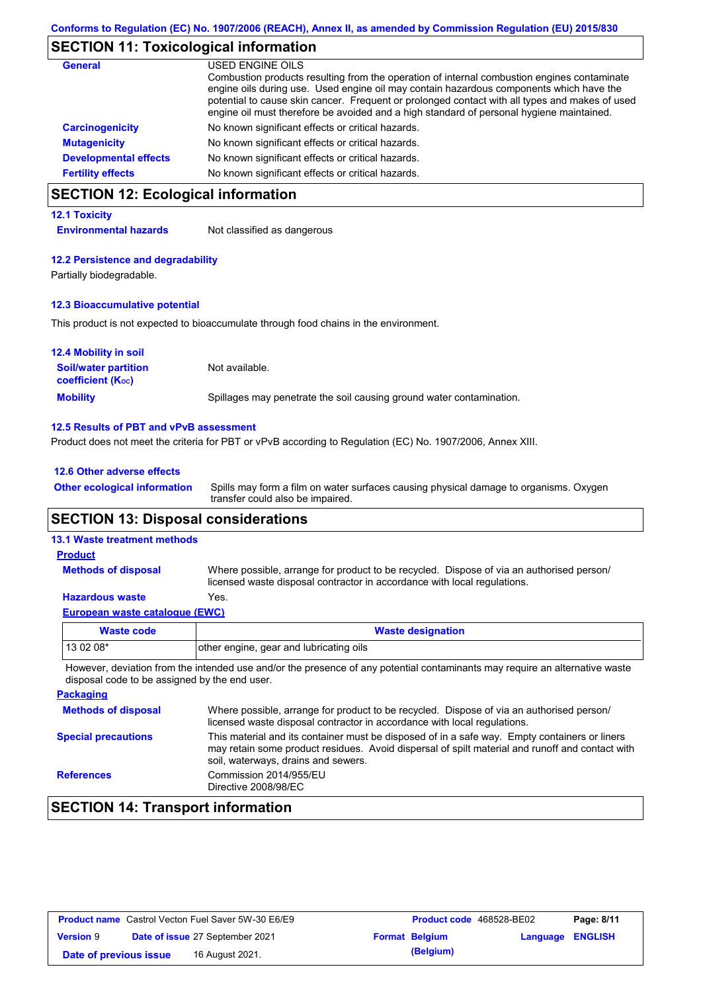### **SECTION 11: Toxicological information**

| General                      | USED ENGINE OILS                                                                                                                                                                                                                                                                                                                                                                     |
|------------------------------|--------------------------------------------------------------------------------------------------------------------------------------------------------------------------------------------------------------------------------------------------------------------------------------------------------------------------------------------------------------------------------------|
|                              | Combustion products resulting from the operation of internal combustion engines contaminate<br>engine oils during use. Used engine oil may contain hazardous components which have the<br>potential to cause skin cancer. Frequent or prolonged contact with all types and makes of used<br>engine oil must therefore be avoided and a high standard of personal hygiene maintained. |
| <b>Carcinogenicity</b>       | No known significant effects or critical hazards.                                                                                                                                                                                                                                                                                                                                    |
| <b>Mutagenicity</b>          | No known significant effects or critical hazards.                                                                                                                                                                                                                                                                                                                                    |
| <b>Developmental effects</b> | No known significant effects or critical hazards.                                                                                                                                                                                                                                                                                                                                    |
| <b>Fertility effects</b>     | No known significant effects or critical hazards.                                                                                                                                                                                                                                                                                                                                    |

# **SECTION 12: Ecological information**

#### **12.1 Toxicity**

**Environmental hazards** Not classified as dangerous

#### **12.2 Persistence and degradability**

Partially biodegradable.

### **12.3 Bioaccumulative potential**

This product is not expected to bioaccumulate through food chains in the environment.

| <b>12.4 Mobility in soil</b>                                  |                                                                      |
|---------------------------------------------------------------|----------------------------------------------------------------------|
| <b>Soil/water partition</b><br>coefficient (K <sub>oc</sub> ) | Not available.                                                       |
| <b>Mobility</b>                                               | Spillages may penetrate the soil causing ground water contamination. |

### **12.5 Results of PBT and vPvB assessment**

Product does not meet the criteria for PBT or vPvB according to Regulation (EC) No. 1907/2006, Annex XIII.

#### **12.6 Other adverse effects**

Spills may form a film on water surfaces causing physical damage to organisms. Oxygen transfer could also be impaired. **Other ecological information**

### **SECTION 13: Disposal considerations**

### **13.1 Waste treatment methods**

**Methods of disposal**

#### **Product**

Where possible, arrange for product to be recycled. Dispose of via an authorised person/ licensed waste disposal contractor in accordance with local regulations.

#### **Hazardous waste** Yes.

| European waste catalogue (EWC) |                                         |  |  |
|--------------------------------|-----------------------------------------|--|--|
| <b>Waste code</b>              | <b>Waste designation</b>                |  |  |
| 13 02 08*                      | other engine, gear and lubricating oils |  |  |

However, deviation from the intended use and/or the presence of any potential contaminants may require an alternative waste disposal code to be assigned by the end user.

| <b>Packaging</b>           |                                                                                                                                                                                                                                         |
|----------------------------|-----------------------------------------------------------------------------------------------------------------------------------------------------------------------------------------------------------------------------------------|
| <b>Methods of disposal</b> | Where possible, arrange for product to be recycled. Dispose of via an authorised person/<br>licensed waste disposal contractor in accordance with local regulations.                                                                    |
| <b>Special precautions</b> | This material and its container must be disposed of in a safe way. Empty containers or liners<br>may retain some product residues. Avoid dispersal of spilt material and runoff and contact with<br>soil, waterways, drains and sewers. |
| <b>References</b>          | Commission 2014/955/EU<br>Directive 2008/98/EC                                                                                                                                                                                          |

# **SECTION 14: Transport information**

| <b>Product name</b> Castrol Vecton Fuel Saver 5W-30 E6/E9 |  | <b>Product code</b> 468528-BE02 |  | Page: 8/11            |                  |  |
|-----------------------------------------------------------|--|---------------------------------|--|-----------------------|------------------|--|
| <b>Version 9</b>                                          |  | Date of issue 27 September 2021 |  | <b>Format Belgium</b> | Language ENGLISH |  |
| Date of previous issue                                    |  | 16 August 2021.                 |  | (Belgium)             |                  |  |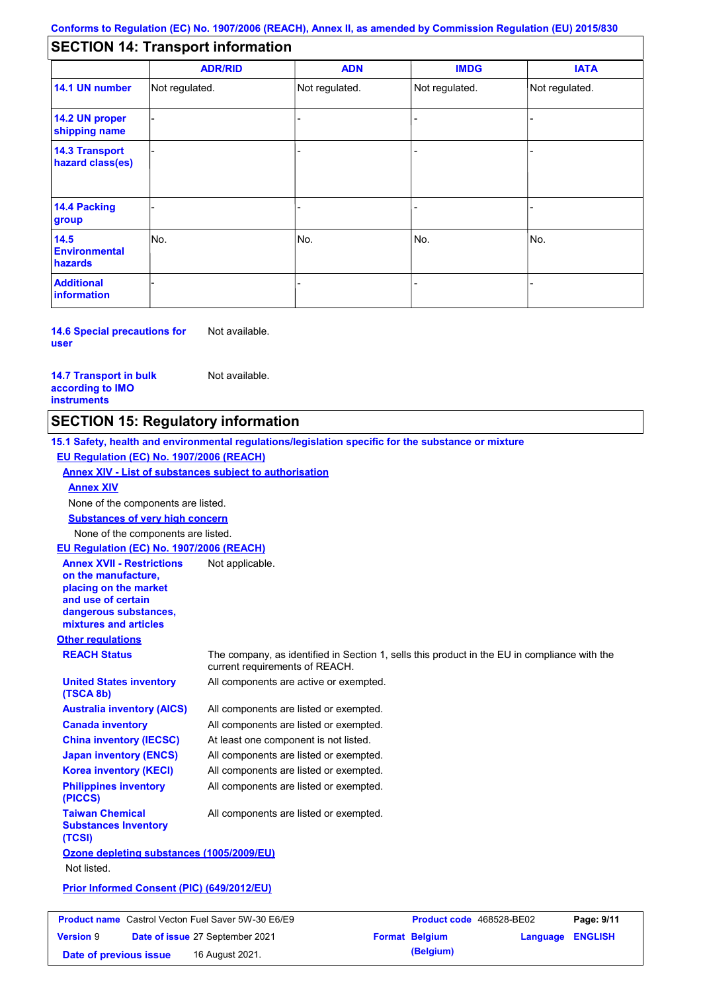# **SECTION 14: Transport information**

|                                           | <b>ADR/RID</b> | <b>ADN</b>     | <b>IMDG</b>    | <b>IATA</b>    |
|-------------------------------------------|----------------|----------------|----------------|----------------|
| 14.1 UN number                            | Not regulated. | Not regulated. | Not regulated. | Not regulated. |
| 14.2 UN proper<br>shipping name           |                |                |                |                |
| <b>14.3 Transport</b><br>hazard class(es) |                |                |                |                |
| 14.4 Packing<br>group                     |                |                | -              |                |
| 14.5<br><b>Environmental</b><br>hazards   | No.            | No.            | No.            | No.            |
| <b>Additional</b><br><b>information</b>   |                |                | ۰              |                |

**14.6 Special precautions for user** Not available.

**14.7 Transport in bulk according to IMO instruments**

Not available.

### **SECTION 15: Regulatory information**

**Other regulations REACH Status** The company, as identified in Section 1, sells this product in the EU in compliance with the current requirements of REACH. **15.1 Safety, health and environmental regulations/legislation specific for the substance or mixture EU Regulation (EC) No. 1907/2006 (REACH) Annex XIV - List of substances subject to authorisation Substances of very high concern** None of the components are listed. All components are listed or exempted. All components are listed or exempted. At least one component is not listed. All components are listed or exempted. All components are active or exempted. All components are listed or exempted. All components are listed or exempted. **United States inventory (TSCA 8b) Australia inventory (AICS) Canada inventory China inventory (IECSC) Japan inventory (ENCS) Korea inventory (KECI) Philippines inventory (PICCS) Taiwan Chemical Substances Inventory (TCSI)** All components are listed or exempted. **Ozone depleting substances (1005/2009/EU)** Not listed. **Prior Informed Consent (PIC) (649/2012/EU)** None of the components are listed. **Annex XIV EU Regulation (EC) No. 1907/2006 (REACH) Annex XVII - Restrictions on the manufacture, placing on the market and use of certain dangerous substances, mixtures and articles** Not applicable.

| <b>Product name</b> Castrol Vecton Fuel Saver 5W-30 E6/E9 |  | <b>Product code</b> 468528-BE02 |  | Page: 9/11            |                  |  |
|-----------------------------------------------------------|--|---------------------------------|--|-----------------------|------------------|--|
| <b>Version 9</b>                                          |  | Date of issue 27 September 2021 |  | <b>Format Belgium</b> | Language ENGLISH |  |
| Date of previous issue                                    |  | 16 August 2021.                 |  | (Belgium)             |                  |  |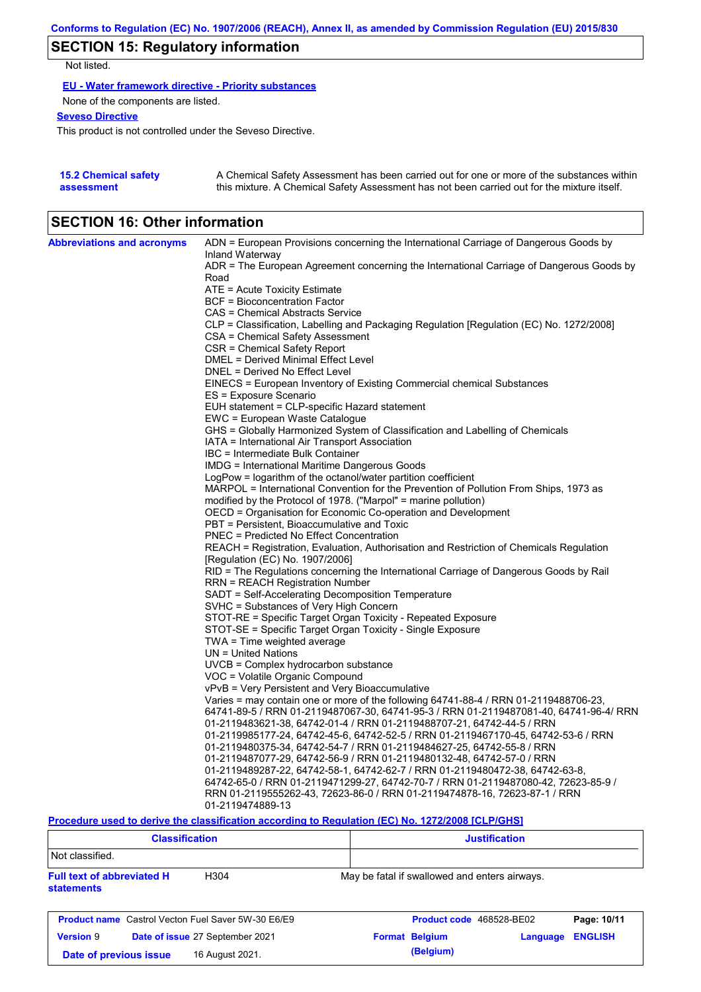# **SECTION 15: Regulatory information**

Not listed.

**EU - Water framework directive - Priority substances**

None of the components are listed.

### **Seveso Directive**

This product is not controlled under the Seveso Directive.

| <b>15.2 Chemical safety</b> | A Chemical Safety Assessment has been carried out for one or more of the substances within  |
|-----------------------------|---------------------------------------------------------------------------------------------|
| assessment                  | this mixture. A Chemical Safety Assessment has not been carried out for the mixture itself. |

# **SECTION 16: Other information**

| <b>Abbreviations and acronyms</b> | ADN = European Provisions concerning the International Carriage of Dangerous Goods by                                           |
|-----------------------------------|---------------------------------------------------------------------------------------------------------------------------------|
|                                   | Inland Waterway<br>ADR = The European Agreement concerning the International Carriage of Dangerous Goods by                     |
|                                   | Road                                                                                                                            |
|                                   | $ATE = Acute Toxicity Estimate$                                                                                                 |
|                                   | BCF = Bioconcentration Factor                                                                                                   |
|                                   | CAS = Chemical Abstracts Service                                                                                                |
|                                   | CLP = Classification, Labelling and Packaging Regulation [Regulation (EC) No. 1272/2008]                                        |
|                                   | CSA = Chemical Safety Assessment                                                                                                |
|                                   | CSR = Chemical Safety Report                                                                                                    |
|                                   | DMEL = Derived Minimal Effect Level                                                                                             |
|                                   | DNEL = Derived No Effect Level                                                                                                  |
|                                   | EINECS = European Inventory of Existing Commercial chemical Substances                                                          |
|                                   | ES = Exposure Scenario                                                                                                          |
|                                   | EUH statement = CLP-specific Hazard statement                                                                                   |
|                                   | EWC = European Waste Catalogue                                                                                                  |
|                                   | GHS = Globally Harmonized System of Classification and Labelling of Chemicals<br>IATA = International Air Transport Association |
|                                   | IBC = Intermediate Bulk Container                                                                                               |
|                                   | IMDG = International Maritime Dangerous Goods                                                                                   |
|                                   | LogPow = logarithm of the octanol/water partition coefficient                                                                   |
|                                   | MARPOL = International Convention for the Prevention of Pollution From Ships, 1973 as                                           |
|                                   | modified by the Protocol of 1978. ("Marpol" = marine pollution)                                                                 |
|                                   | OECD = Organisation for Economic Co-operation and Development                                                                   |
|                                   | PBT = Persistent, Bioaccumulative and Toxic                                                                                     |
|                                   | <b>PNEC = Predicted No Effect Concentration</b>                                                                                 |
|                                   | REACH = Registration, Evaluation, Authorisation and Restriction of Chemicals Regulation                                         |
|                                   | [Regulation (EC) No. 1907/2006]                                                                                                 |
|                                   | RID = The Regulations concerning the International Carriage of Dangerous Goods by Rail                                          |
|                                   | RRN = REACH Registration Number                                                                                                 |
|                                   | SADT = Self-Accelerating Decomposition Temperature                                                                              |
|                                   | SVHC = Substances of Very High Concern                                                                                          |
|                                   | STOT-RE = Specific Target Organ Toxicity - Repeated Exposure<br>STOT-SE = Specific Target Organ Toxicity - Single Exposure      |
|                                   | TWA = Time weighted average                                                                                                     |
|                                   | $UN = United Nations$                                                                                                           |
|                                   | UVCB = Complex hydrocarbon substance                                                                                            |
|                                   | VOC = Volatile Organic Compound                                                                                                 |
|                                   | vPvB = Very Persistent and Very Bioaccumulative                                                                                 |
|                                   | Varies = may contain one or more of the following 64741-88-4 / RRN 01-2119488706-23,                                            |
|                                   | 64741-89-5 / RRN 01-2119487067-30, 64741-95-3 / RRN 01-2119487081-40, 64741-96-4/ RRN                                           |
|                                   | 01-2119483621-38, 64742-01-4 / RRN 01-2119488707-21, 64742-44-5 / RRN                                                           |
|                                   | 01-2119985177-24, 64742-45-6, 64742-52-5 / RRN 01-2119467170-45, 64742-53-6 / RRN                                               |
|                                   | 01-2119480375-34, 64742-54-7 / RRN 01-2119484627-25, 64742-55-8 / RRN                                                           |
|                                   | 01-2119487077-29, 64742-56-9 / RRN 01-2119480132-48, 64742-57-0 / RRN                                                           |
|                                   | 01-2119489287-22, 64742-58-1, 64742-62-7 / RRN 01-2119480472-38, 64742-63-8,                                                    |
|                                   | 64742-65-0 / RRN 01-2119471299-27, 64742-70-7 / RRN 01-2119487080-42, 72623-85-9 /                                              |
|                                   | RRN 01-2119555262-43, 72623-86-0 / RRN 01-2119474878-16, 72623-87-1 / RRN                                                       |
|                                   | 01-2119474889-13                                                                                                                |

**Procedure used to derive the classification according to Regulation (EC) No. 1272/2008 [CLP/GHS]**

| <b>Classification</b>                                                      |  | <b>Justification</b>                          |          |                |  |
|----------------------------------------------------------------------------|--|-----------------------------------------------|----------|----------------|--|
| Not classified.                                                            |  |                                               |          |                |  |
| <b>Full text of abbreviated H</b><br>H <sub>304</sub><br><b>statements</b> |  | May be fatal if swallowed and enters airways. |          |                |  |
| <b>Product name</b> Castrol Vecton Fuel Saver 5W-30 E6/E9                  |  | Product code 468528-BE02                      |          | Page: 10/11    |  |
| <b>Version 9</b><br>Date of issue 27 September 2021                        |  | <b>Format Belgium</b>                         | Language | <b>ENGLISH</b> |  |
| Date of previous issue<br>16 August 2021.                                  |  | (Belgium)                                     |          |                |  |